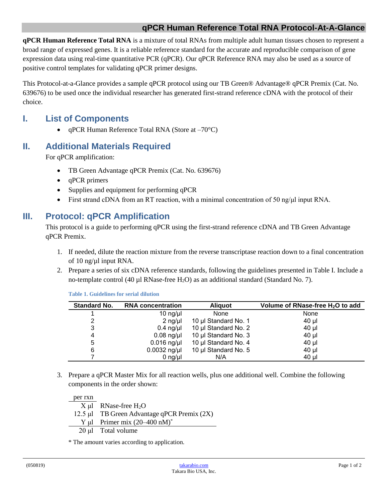## **qPCR Human Reference Total RNA Protocol-At-A-Glance**

**qPCR Human Reference Total RNA** is a mixture of total RNAs from multiple adult human tissues chosen to represent a broad range of expressed genes. It is a reliable reference standard for the accurate and reproducible comparison of gene expression data using real-time quantitative PCR (qPCR). Our qPCR Reference RNA may also be used as a source of positive control templates for validating qPCR primer designs.

This Protocol-at-a-Glance provides a sample qPCR protocol using our TB Green® Advantage® qPCR Premix (Cat. No. 639676) to be used once the individual researcher has generated first-strand reference cDNA with the protocol of their choice.

## **I. List of Components**

• qPCR Human Reference Total RNA (Store at  $-70^{\circ}$ C)

# **II. Additional Materials Required**

For qPCR amplification:

- TB Green Advantage qPCR Premix (Cat. No. 639676)
- qPCR primers
- Supplies and equipment for performing qPCR
- First strand cDNA from an RT reaction, with a minimal concentration of 50 ng/µl input RNA.

# **III. Protocol: qPCR Amplification**

This protocol is a guide to performing qPCR using the first-strand reference cDNA and TB Green Advantage qPCR Premix.

- 1. If needed, dilute the reaction mixture from the reverse transcriptase reaction down to a final concentration of 10 ng/µl input RNA.
- 2. Prepare a series of six cDNA reference standards, following the guidelines presented in Table I. Include a no-template control (40  $\mu$ l RNase-free H<sub>2</sub>O) as an additional standard (Standard No. 7).

| <b>Standard No.</b> | <b>RNA concentration</b> | <b>Aliquot</b>       | Volume of RNase-free H <sub>2</sub> O to add |
|---------------------|--------------------------|----------------------|----------------------------------------------|
|                     | $10$ ng/ $\mu$           | None                 | None                                         |
| 2                   | $2$ ng/ $\mu$            | 10 µl Standard No. 1 | 40 µl                                        |
| 3                   | $0.4$ ng/µl              | 10 µl Standard No. 2 | $40 \mu$                                     |
| 4                   | $0.08$ ng/µl             | 10 µl Standard No. 3 | 40 µl                                        |
| 5                   | $0.016$ ng/µl            | 10 µl Standard No. 4 | 40 µl                                        |
| 6                   | $0.0032$ ng/ $\mu$       | 10 µl Standard No. 5 | $40 \mu$                                     |
|                     | $0$ ng/ $\mu$            | N/A                  | 40 µl                                        |

**Table 1. Guidelines for serial dilution**

3. Prepare a qPCR Master Mix for all reaction wells, plus one additional well. Combine the following components in the order shown:

per rxn  $X \mu I$  RNase-free H<sub>2</sub>O 12.5 μl TB Green Advantage qPCR Premix (2X) Y μl Primer mix  $(20-400 \text{ nM})^*$ 20 μl Total volume

\* The amount varies according to application.